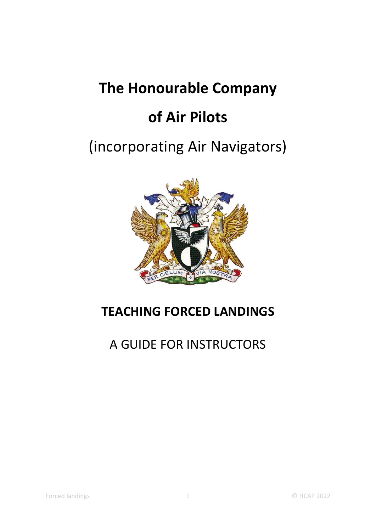# **The Honourable Company**

# **of Air Pilots**

# (incorporating Air Navigators)



# **TEACHING FORCED LANDINGS**

# A GUIDE FOR INSTRUCTORS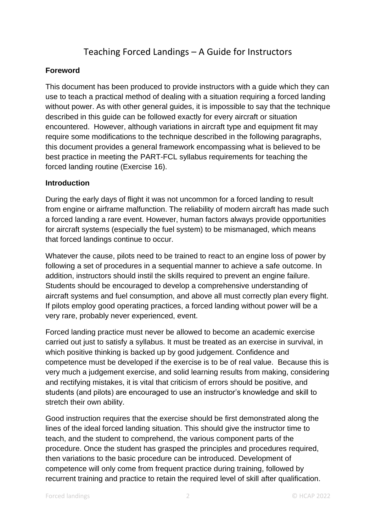# Teaching Forced Landings – A Guide for Instructors

### **Foreword**

This document has been produced to provide instructors with a guide which they can use to teach a practical method of dealing with a situation requiring a forced landing without power. As with other general guides, it is impossible to say that the technique described in this guide can be followed exactly for every aircraft or situation encountered. However, although variations in aircraft type and equipment fit may require some modifications to the technique described in the following paragraphs, this document provides a general framework encompassing what is believed to be best practice in meeting the PART-FCL syllabus requirements for teaching the forced landing routine (Exercise 16).

### **Introduction**

During the early days of flight it was not uncommon for a forced landing to result from engine or airframe malfunction. The reliability of modern aircraft has made such a forced landing a rare event. However, human factors always provide opportunities for aircraft systems (especially the fuel system) to be mismanaged, which means that forced landings continue to occur.

Whatever the cause, pilots need to be trained to react to an engine loss of power by following a set of procedures in a sequential manner to achieve a safe outcome. In addition, instructors should instil the skills required to prevent an engine failure. Students should be encouraged to develop a comprehensive understanding of aircraft systems and fuel consumption, and above all must correctly plan every flight. If pilots employ good operating practices, a forced landing without power will be a very rare, probably never experienced, event.

Forced landing practice must never be allowed to become an academic exercise carried out just to satisfy a syllabus. It must be treated as an exercise in survival, in which positive thinking is backed up by good judgement. Confidence and competence must be developed if the exercise is to be of real value. Because this is very much a judgement exercise, and solid learning results from making, considering and rectifying mistakes, it is vital that criticism of errors should be positive, and students (and pilots) are encouraged to use an instructor's knowledge and skill to stretch their own ability.

Good instruction requires that the exercise should be first demonstrated along the lines of the ideal forced landing situation. This should give the instructor time to teach, and the student to comprehend, the various component parts of the procedure. Once the student has grasped the principles and procedures required, then variations to the basic procedure can be introduced. Development of competence will only come from frequent practice during training, followed by recurrent training and practice to retain the required level of skill after qualification.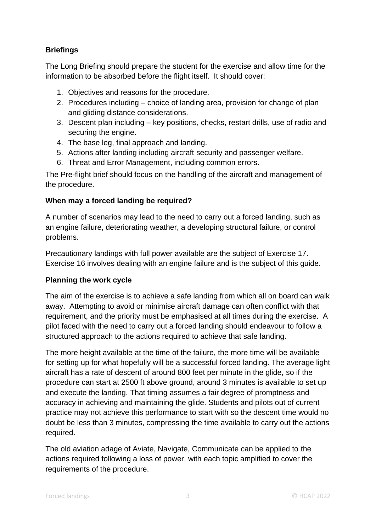# **Briefings**

The Long Briefing should prepare the student for the exercise and allow time for the information to be absorbed before the flight itself. It should cover:

- 1. Objectives and reasons for the procedure.
- 2. Procedures including choice of landing area, provision for change of plan and gliding distance considerations.
- 3. Descent plan including key positions, checks, restart drills, use of radio and securing the engine.
- 4. The base leg, final approach and landing.
- 5. Actions after landing including aircraft security and passenger welfare.
- 6. Threat and Error Management, including common errors.

The Pre-flight brief should focus on the handling of the aircraft and management of the procedure.

### **When may a forced landing be required?**

A number of scenarios may lead to the need to carry out a forced landing, such as an engine failure, deteriorating weather, a developing structural failure, or control problems.

Precautionary landings with full power available are the subject of Exercise 17. Exercise 16 involves dealing with an engine failure and is the subject of this guide.

#### **Planning the work cycle**

The aim of the exercise is to achieve a safe landing from which all on board can walk away. Attempting to avoid or minimise aircraft damage can often conflict with that requirement, and the priority must be emphasised at all times during the exercise. A pilot faced with the need to carry out a forced landing should endeavour to follow a structured approach to the actions required to achieve that safe landing.

The more height available at the time of the failure, the more time will be available for setting up for what hopefully will be a successful forced landing. The average light aircraft has a rate of descent of around 800 feet per minute in the glide, so if the procedure can start at 2500 ft above ground, around 3 minutes is available to set up and execute the landing. That timing assumes a fair degree of promptness and accuracy in achieving and maintaining the glide. Students and pilots out of current practice may not achieve this performance to start with so the descent time would no doubt be less than 3 minutes, compressing the time available to carry out the actions required.

The old aviation adage of Aviate, Navigate, Communicate can be applied to the actions required following a loss of power, with each topic amplified to cover the requirements of the procedure.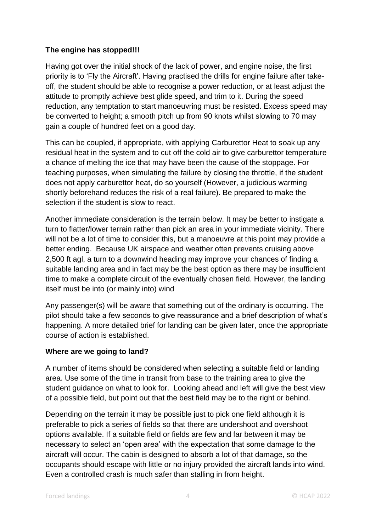# **The engine has stopped!!!**

Having got over the initial shock of the lack of power, and engine noise, the first priority is to 'Fly the Aircraft'. Having practised the drills for engine failure after takeoff, the student should be able to recognise a power reduction, or at least adjust the attitude to promptly achieve best glide speed, and trim to it. During the speed reduction, any temptation to start manoeuvring must be resisted. Excess speed may be converted to height; a smooth pitch up from 90 knots whilst slowing to 70 may gain a couple of hundred feet on a good day.

This can be coupled, if appropriate, with applying Carburettor Heat to soak up any residual heat in the system and to cut off the cold air to give carburettor temperature a chance of melting the ice that may have been the cause of the stoppage. For teaching purposes, when simulating the failure by closing the throttle, if the student does not apply carburettor heat, do so yourself (However, a judicious warming shortly beforehand reduces the risk of a real failure). Be prepared to make the selection if the student is slow to react.

Another immediate consideration is the terrain below. It may be better to instigate a turn to flatter/lower terrain rather than pick an area in your immediate vicinity. There will not be a lot of time to consider this, but a manoeuvre at this point may provide a better ending. Because UK airspace and weather often prevents cruising above 2,500 ft agl, a turn to a downwind heading may improve your chances of finding a suitable landing area and in fact may be the best option as there may be insufficient time to make a complete circuit of the eventually chosen field. However, the landing itself must be into (or mainly into) wind

Any passenger(s) will be aware that something out of the ordinary is occurring. The pilot should take a few seconds to give reassurance and a brief description of what's happening. A more detailed brief for landing can be given later, once the appropriate course of action is established.

# **Where are we going to land?**

A number of items should be considered when selecting a suitable field or landing area. Use some of the time in transit from base to the training area to give the student guidance on what to look for. Looking ahead and left will give the best view of a possible field, but point out that the best field may be to the right or behind.

Depending on the terrain it may be possible just to pick one field although it is preferable to pick a series of fields so that there are undershoot and overshoot options available. If a suitable field or fields are few and far between it may be necessary to select an 'open area' with the expectation that some damage to the aircraft will occur. The cabin is designed to absorb a lot of that damage, so the occupants should escape with little or no injury provided the aircraft lands into wind. Even a controlled crash is much safer than stalling in from height.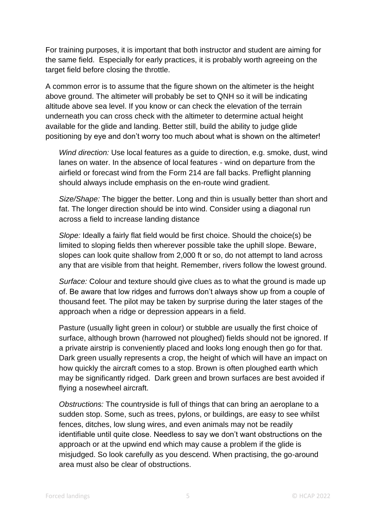For training purposes, it is important that both instructor and student are aiming for the same field. Especially for early practices, it is probably worth agreeing on the target field before closing the throttle.

A common error is to assume that the figure shown on the altimeter is the height above ground. The altimeter will probably be set to QNH so it will be indicating altitude above sea level. If you know or can check the elevation of the terrain underneath you can cross check with the altimeter to determine actual height available for the glide and landing. Better still, build the ability to judge glide positioning by eye and don't worry too much about what is shown on the altimeter!

*Wind direction:* Use local features as a guide to direction, e.g. smoke, dust, wind lanes on water. In the absence of local features - wind on departure from the airfield or forecast wind from the Form 214 are fall backs. Preflight planning should always include emphasis on the en-route wind gradient.

*Size/Shape:* The bigger the better. Long and thin is usually better than short and fat. The longer direction should be into wind. Consider using a diagonal run across a field to increase landing distance

*Slope:* Ideally a fairly flat field would be first choice. Should the choice(s) be limited to sloping fields then wherever possible take the uphill slope. Beware, slopes can look quite shallow from 2,000 ft or so, do not attempt to land across any that are visible from that height. Remember, rivers follow the lowest ground.

*Surface:* Colour and texture should give clues as to what the ground is made up of. Be aware that low ridges and furrows don't always show up from a couple of thousand feet. The pilot may be taken by surprise during the later stages of the approach when a ridge or depression appears in a field.

Pasture (usually light green in colour) or stubble are usually the first choice of surface, although brown (harrowed not ploughed) fields should not be ignored. If a private airstrip is conveniently placed and looks long enough then go for that. Dark green usually represents a crop, the height of which will have an impact on how quickly the aircraft comes to a stop. Brown is often ploughed earth which may be significantly ridged. Dark green and brown surfaces are best avoided if flying a nosewheel aircraft.

*Obstructions:* The countryside is full of things that can bring an aeroplane to a sudden stop. Some, such as trees, pylons, or buildings, are easy to see whilst fences, ditches, low slung wires, and even animals may not be readily identifiable until quite close. Needless to say we don't want obstructions on the approach or at the upwind end which may cause a problem if the glide is misjudged. So look carefully as you descend. When practising, the go-around area must also be clear of obstructions.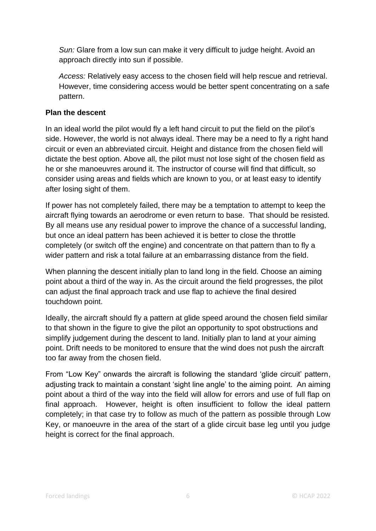*Sun:* Glare from a low sun can make it very difficult to judge height. Avoid an approach directly into sun if possible.

*Access:* Relatively easy access to the chosen field will help rescue and retrieval. However, time considering access would be better spent concentrating on a safe pattern.

# **Plan the descent**

In an ideal world the pilot would fly a left hand circuit to put the field on the pilot's side. However, the world is not always ideal. There may be a need to fly a right hand circuit or even an abbreviated circuit. Height and distance from the chosen field will dictate the best option. Above all, the pilot must not lose sight of the chosen field as he or she manoeuvres around it. The instructor of course will find that difficult, so consider using areas and fields which are known to you, or at least easy to identify after losing sight of them.

If power has not completely failed, there may be a temptation to attempt to keep the aircraft flying towards an aerodrome or even return to base. That should be resisted. By all means use any residual power to improve the chance of a successful landing, but once an ideal pattern has been achieved it is better to close the throttle completely (or switch off the engine) and concentrate on that pattern than to fly a wider pattern and risk a total failure at an embarrassing distance from the field.

When planning the descent initially plan to land long in the field. Choose an aiming point about a third of the way in. As the circuit around the field progresses, the pilot can adjust the final approach track and use flap to achieve the final desired touchdown point.

Ideally, the aircraft should fly a pattern at glide speed around the chosen field similar to that shown in the figure to give the pilot an opportunity to spot obstructions and simplify judgement during the descent to land. Initially plan to land at your aiming point. Drift needs to be monitored to ensure that the wind does not push the aircraft too far away from the chosen field.

From "Low Key" onwards the aircraft is following the standard 'glide circuit' pattern, adjusting track to maintain a constant 'sight line angle' to the aiming point. An aiming point about a third of the way into the field will allow for errors and use of full flap on final approach. However, height is often insufficient to follow the ideal pattern completely; in that case try to follow as much of the pattern as possible through Low Key, or manoeuvre in the area of the start of a glide circuit base leg until you judge height is correct for the final approach.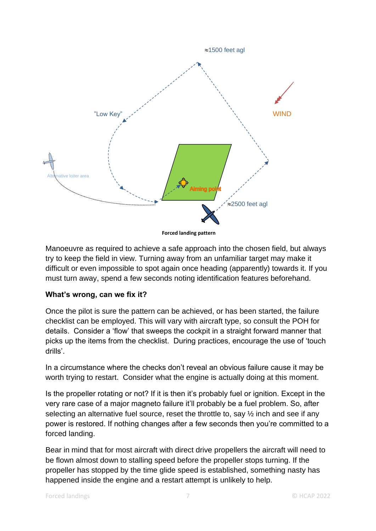

**Forced landing pattern**

Manoeuvre as required to achieve a safe approach into the chosen field, but always try to keep the field in view. Turning away from an unfamiliar target may make it difficult or even impossible to spot again once heading (apparently) towards it. If you must turn away, spend a few seconds noting identification features beforehand.

#### **What's wrong, can we fix it?**

Once the pilot is sure the pattern can be achieved, or has been started, the failure checklist can be employed. This will vary with aircraft type, so consult the POH for details. Consider a 'flow' that sweeps the cockpit in a straight forward manner that picks up the items from the checklist. During practices, encourage the use of 'touch drills'.

In a circumstance where the checks don't reveal an obvious failure cause it may be worth trying to restart. Consider what the engine is actually doing at this moment.

Is the propeller rotating or not? If it is then it's probably fuel or ignition. Except in the very rare case of a major magneto failure it'll probably be a fuel problem. So, after selecting an alternative fuel source, reset the throttle to, say  $\frac{1}{2}$  inch and see if any power is restored. If nothing changes after a few seconds then you're committed to a forced landing.

Bear in mind that for most aircraft with direct drive propellers the aircraft will need to be flown almost down to stalling speed before the propeller stops turning. If the propeller has stopped by the time glide speed is established, something nasty has happened inside the engine and a restart attempt is unlikely to help.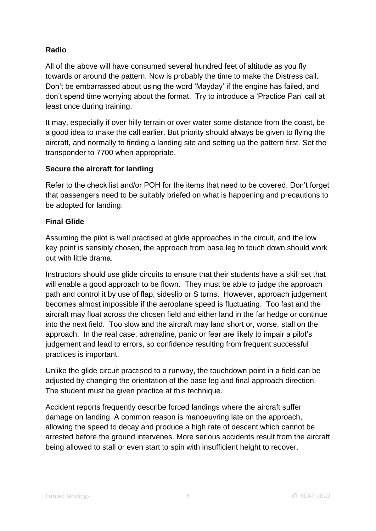# **Radio**

All of the above will have consumed several hundred feet of altitude as you fly towards or around the pattern. Now is probably the time to make the Distress call. Don't be embarrassed about using the word 'Mayday' if the engine has failed, and don't spend time worrying about the format. Try to introduce a 'Practice Pan' call at least once during training.

It may, especially if over hilly terrain or over water some distance from the coast, be a good idea to make the call earlier. But priority should always be given to flying the aircraft, and normally to finding a landing site and setting up the pattern first. Set the transponder to 7700 when appropriate.

### **Secure the aircraft for landing**

Refer to the check list and/or POH for the items that need to be covered. Don't forget that passengers need to be suitably briefed on what is happening and precautions to be adopted for landing.

#### **Final Glide**

Assuming the pilot is well practised at glide approaches in the circuit, and the low key point is sensibly chosen, the approach from base leg to touch down should work out with little drama.

Instructors should use glide circuits to ensure that their students have a skill set that will enable a good approach to be flown. They must be able to judge the approach path and control it by use of flap, sideslip or S turns. However, approach judgement becomes almost impossible if the aeroplane speed is fluctuating. Too fast and the aircraft may float across the chosen field and either land in the far hedge or continue into the next field. Too slow and the aircraft may land short or, worse, stall on the approach. In the real case, adrenaline, panic or fear are likely to impair a pilot's judgement and lead to errors, so confidence resulting from frequent successful practices is important.

Unlike the glide circuit practised to a runway, the touchdown point in a field can be adjusted by changing the orientation of the base leg and final approach direction. The student must be given practice at this technique.

Accident reports frequently describe forced landings where the aircraft suffer damage on landing. A common reason is manoeuvring late on the approach, allowing the speed to decay and produce a high rate of descent which cannot be arrested before the ground intervenes. More serious accidents result from the aircraft being allowed to stall or even start to spin with insufficient height to recover.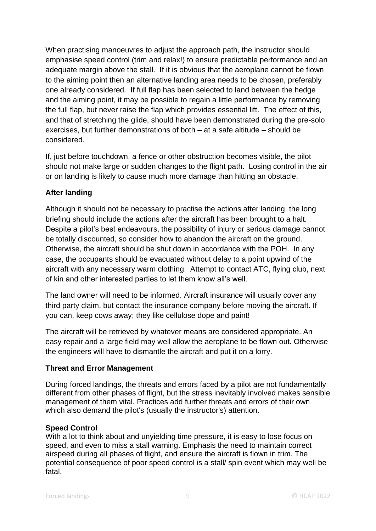When practising manoeuvres to adjust the approach path, the instructor should emphasise speed control (trim and relax!) to ensure predictable performance and an adequate margin above the stall. If it is obvious that the aeroplane cannot be flown to the aiming point then an alternative landing area needs to be chosen, preferably one already considered. If full flap has been selected to land between the hedge and the aiming point, it may be possible to regain a little performance by removing the full flap, but never raise the flap which provides essential lift. The effect of this, and that of stretching the glide, should have been demonstrated during the pre-solo exercises, but further demonstrations of both – at a safe altitude – should be considered.

If, just before touchdown, a fence or other obstruction becomes visible, the pilot should not make large or sudden changes to the flight path. Losing control in the air or on landing is likely to cause much more damage than hitting an obstacle.

# **After landing**

Although it should not be necessary to practise the actions after landing, the long briefing should include the actions after the aircraft has been brought to a halt. Despite a pilot's best endeavours, the possibility of injury or serious damage cannot be totally discounted, so consider how to abandon the aircraft on the ground. Otherwise, the aircraft should be shut down in accordance with the POH. In any case, the occupants should be evacuated without delay to a point upwind of the aircraft with any necessary warm clothing. Attempt to contact ATC, flying club, next of kin and other interested parties to let them know all's well.

The land owner will need to be informed. Aircraft insurance will usually cover any third party claim, but contact the insurance company before moving the aircraft. If you can, keep cows away; they like cellulose dope and paint!

The aircraft will be retrieved by whatever means are considered appropriate. An easy repair and a large field may well allow the aeroplane to be flown out. Otherwise the engineers will have to dismantle the aircraft and put it on a lorry.

#### **Threat and Error Management**

During forced landings, the threats and errors faced by a pilot are not fundamentally different from other phases of flight, but the stress inevitably involved makes sensible management of them vital. Practices add further threats and errors of their own which also demand the pilot's (usually the instructor's) attention.

#### **Speed Control**

With a lot to think about and unyielding time pressure, it is easy to lose focus on speed, and even to miss a stall warning. Emphasis the need to maintain correct airspeed during all phases of flight, and ensure the aircraft is flown in trim. The potential consequence of poor speed control is a stall/ spin event which may well be fatal.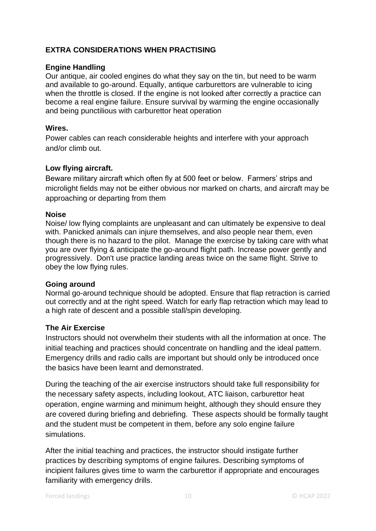# **EXTRA CONSIDERATIONS WHEN PRACTISING**

#### **Engine Handling**

Our antique, air cooled engines do what they say on the tin, but need to be warm and available to go-around. Equally, antique carburettors are vulnerable to icing when the throttle is closed. If the engine is not looked after correctly a practice can become a real engine failure. Ensure survival by warming the engine occasionally and being punctilious with carburettor heat operation

#### **Wires.**

Power cables can reach considerable heights and interfere with your approach and/or climb out.

#### **Low flying aircraft.**

Beware military aircraft which often fly at 500 feet or below. Farmers' strips and microlight fields may not be either obvious nor marked on charts, and aircraft may be approaching or departing from them

#### **Noise**

Noise/ low flying complaints are unpleasant and can ultimately be expensive to deal with. Panicked animals can injure themselves, and also people near them, even though there is no hazard to the pilot. Manage the exercise by taking care with what you are over flying & anticipate the go-around flight path. Increase power gently and progressively. Don't use practice landing areas twice on the same flight. Strive to obey the low flying rules.

#### **Going around**

Normal go-around technique should be adopted. Ensure that flap retraction is carried out correctly and at the right speed. Watch for early flap retraction which may lead to a high rate of descent and a possible stall/spin developing.

#### **The Air Exercise**

Instructors should not overwhelm their students with all the information at once. The initial teaching and practices should concentrate on handling and the ideal pattern. Emergency drills and radio calls are important but should only be introduced once the basics have been learnt and demonstrated.

During the teaching of the air exercise instructors should take full responsibility for the necessary safety aspects, including lookout, ATC liaison, carburettor heat operation, engine warming and minimum height, although they should ensure they are covered during briefing and debriefing. These aspects should be formally taught and the student must be competent in them, before any solo engine failure simulations.

After the initial teaching and practices, the instructor should instigate further practices by describing symptoms of engine failures. Describing symptoms of incipient failures gives time to warm the carburettor if appropriate and encourages familiarity with emergency drills.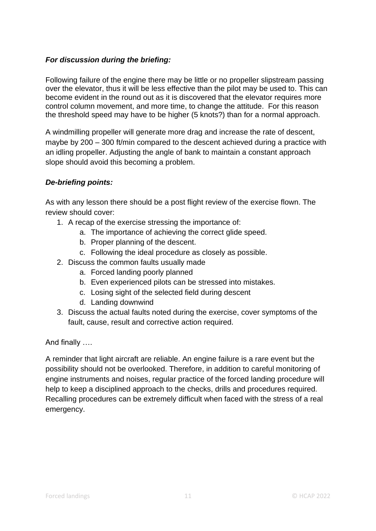# *For discussion during the briefing:*

Following failure of the engine there may be little or no propeller slipstream passing over the elevator, thus it will be less effective than the pilot may be used to. This can become evident in the round out as it is discovered that the elevator requires more control column movement, and more time, to change the attitude. For this reason the threshold speed may have to be higher (5 knots?) than for a normal approach.

A windmilling propeller will generate more drag and increase the rate of descent, maybe by 200 – 300 ft/min compared to the descent achieved during a practice with an idling propeller. Adjusting the angle of bank to maintain a constant approach slope should avoid this becoming a problem.

# *De-briefing points:*

As with any lesson there should be a post flight review of the exercise flown. The review should cover:

- 1. A recap of the exercise stressing the importance of:
	- a. The importance of achieving the correct glide speed.
	- b. Proper planning of the descent.
	- c. Following the ideal procedure as closely as possible.
- 2. Discuss the common faults usually made
	- a. Forced landing poorly planned
	- b. Even experienced pilots can be stressed into mistakes.
	- c. Losing sight of the selected field during descent
	- d. Landing downwind
- 3. Discuss the actual faults noted during the exercise, cover symptoms of the fault, cause, result and corrective action required.

And finally ….

A reminder that light aircraft are reliable. An engine failure is a rare event but the possibility should not be overlooked. Therefore, in addition to careful monitoring of engine instruments and noises, regular practice of the forced landing procedure will help to keep a disciplined approach to the checks, drills and procedures required. Recalling procedures can be extremely difficult when faced with the stress of a real emergency.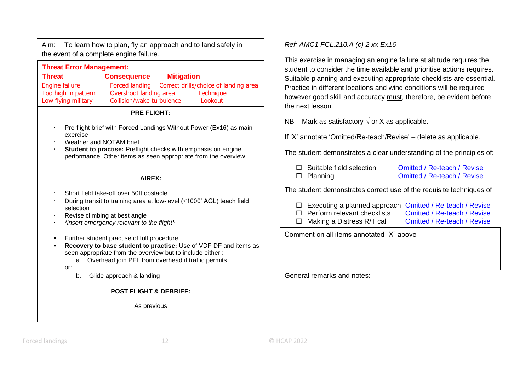Aim: To learn how to plan, fly an approach and to land safely in the event of a complete engine failure.

## **Threat Error Management: Threat Consequence Mitigation** Engine failure Forced landing Correct drills/choice of landing area Too high in pattern Overshoot landing area Technique Low flying military Collision/wake turbulence Lookout

#### **PRE FLIGHT:**

- Pre-flight brief with Forced Landings Without Power (Ex16) as main exercise
- Weather and NOTAM brief
- **Student to practise:** Preflight checks with emphasis on engine performance. Other items as seen appropriate from the overview.

#### **AIREX:**

- Short field take-off over 50ft obstacle
- During transit to training area at low-level  $(1000)$  AGL) teach field selection
- Revise climbing at best angle
- *\*insert emergency relevant to the flight\**
- Further student practise of full procedure..
- **Recovery to base student to practise:** Use of VDF DF and items as seen appropriate from the overview but to include either :
	- a. Overhead join PFL from overhead if traffic permits

or:

b. Glide approach & landing

**POST FLIGHT & DEBRIEF:** 

As previous

# *Ref: AMC1 FCL.210.A (c) 2 xx Ex16*

This exercise in managing an engine failure at altitude requires the student to consider the time available and prioritise actions requires. Suitable planning and executing appropriate checklists are essential. Practice in different locations and wind conditions will be required however good skill and accuracy must, therefore, be evident before the next lesson.

NB – Mark as satisfactory  $\sqrt{ }$  or X as applicable.

If 'X' annotate 'Omitted/Re-teach/Revise' – delete as applicable.

The student demonstrates a clear understanding of the principles of:

| $\Box$ Suitable field selection | Omitted / Re-teach / Revise |
|---------------------------------|-----------------------------|
| $\square$ Planning              | Omitted / Re-teach / Revise |

The student demonstrates correct use of the requisite techniques of

| $\Box$ Executing a planned approach Omitted / Re-teach / Revise |                             |
|-----------------------------------------------------------------|-----------------------------|
| $\Box$ Perform relevant checklists                              | Omitted / Re-teach / Revise |
| $\Box$ Making a Distress R/T call                               | Omitted / Re-teach / Revise |

 Passenger briefing Omitted / Re-teach / Revise Comment on all items annotated "X" above

General remarks and notes: